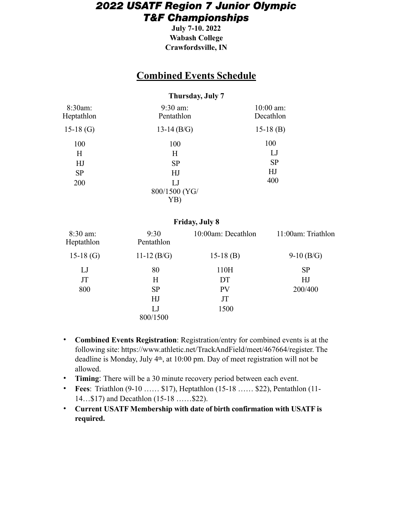## *2022 USATF Region 7 Junior Olympic T&F Championships*

**July 7-10. 2022 Wabash College Crawfordsville, IN** 

## **Combined Events Schedule**

### **Thursday, July 7**

| 8:30am:<br>Heptathlon | $9:30$ am:<br>Pentathlon | $10:00$ am:<br>Decathlon |  |
|-----------------------|--------------------------|--------------------------|--|
| 15-18 $(G)$           | 13-14 $(B/G)$            | $15-18$ (B)              |  |
| 100                   | 100                      | 100                      |  |
| Η                     | Н                        | LJ                       |  |
| HJ                    | <b>SP</b>                | <b>SP</b>                |  |
| <b>SP</b>             | HJ                       | HJ                       |  |
| 200                   | LJ                       | 400                      |  |
|                       | 800/1500 (YG/            |                          |  |
|                       | YB)                      |                          |  |

#### **Friday, July 8**

| $8:30$ am:<br>Heptathlon | 9:30<br>Pentathlon | 10:00am: Decathlon | 11:00am: Triathlon |
|--------------------------|--------------------|--------------------|--------------------|
| $15-18$ (G)              | 11-12 $(B/G)$      | $15-18$ (B)        | $9-10$ (B/G)       |
| LJ                       | 80                 | 110H               | <b>SP</b>          |
| JT                       | H                  | DT                 | HJ                 |
| 800                      | <b>SP</b>          | <b>PV</b>          | 200/400            |
|                          | HJ                 | JT                 |                    |
|                          | LJ                 | 1500               |                    |
|                          | 800/1500           |                    |                    |

- **Combined Events Registration**: Registration/entry for combined events is at the following site: https://www.athletic.net/TrackAndField/meet/467664/register. The deadline is Monday, July 4th, at 10:00 pm. Day of meet registration will not be allowed.
- **Timing**: There will be a 30 minute recovery period between each event.
- **Fees**: Triathlon (9-10 …… \$17), Heptathlon (15-18 …… \$22), Pentathlon (11- 14…\$17) and Decathlon (15-18 ……\$22).
- **Current USATF Membership with date of birth confirmation with USATF is required.**